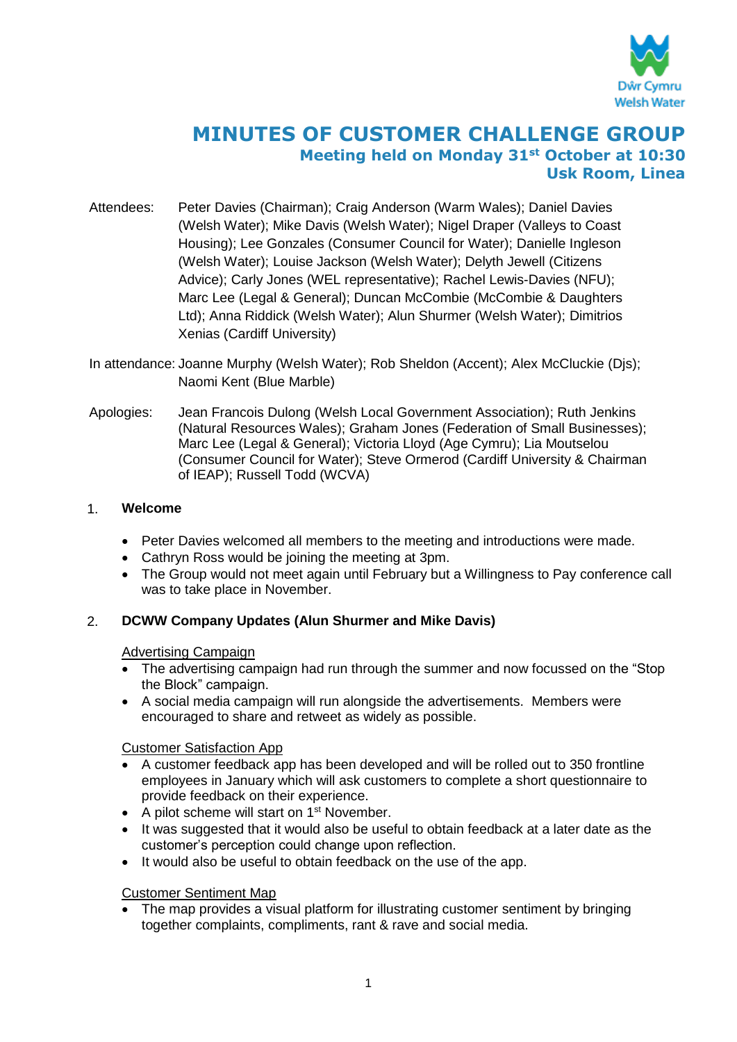

# **MINUTES OF CUSTOMER CHALLENGE GROUP Meeting held on Monday 31st October at 10:30 Usk Room, Linea**

- Attendees: Peter Davies (Chairman); Craig Anderson (Warm Wales); Daniel Davies (Welsh Water); Mike Davis (Welsh Water); Nigel Draper (Valleys to Coast Housing); Lee Gonzales (Consumer Council for Water); Danielle Ingleson (Welsh Water); Louise Jackson (Welsh Water); Delyth Jewell (Citizens Advice); Carly Jones (WEL representative); Rachel Lewis-Davies (NFU); Marc Lee (Legal & General); Duncan McCombie (McCombie & Daughters Ltd); Anna Riddick (Welsh Water); Alun Shurmer (Welsh Water); Dimitrios Xenias (Cardiff University)
- In attendance: Joanne Murphy (Welsh Water); Rob Sheldon (Accent); Alex McCluckie (Djs); Naomi Kent (Blue Marble)
- Apologies: Jean Francois Dulong (Welsh Local Government Association); Ruth Jenkins (Natural Resources Wales); Graham Jones (Federation of Small Businesses); Marc Lee (Legal & General); Victoria Lloyd (Age Cymru); Lia Moutselou (Consumer Council for Water); Steve Ormerod (Cardiff University & Chairman of IEAP); Russell Todd (WCVA)

# 1. **Welcome**

- Peter Davies welcomed all members to the meeting and introductions were made.
- Cathryn Ross would be joining the meeting at 3pm.
- The Group would not meet again until February but a Willingness to Pay conference call was to take place in November.

# 2. **DCWW Company Updates (Alun Shurmer and Mike Davis)**

## Advertising Campaign

- The advertising campaign had run through the summer and now focussed on the "Stop" the Block" campaign.
- A social media campaign will run alongside the advertisements. Members were encouraged to share and retweet as widely as possible.

## Customer Satisfaction App

- A customer feedback app has been developed and will be rolled out to 350 frontline employees in January which will ask customers to complete a short questionnaire to provide feedback on their experience.
- A pilot scheme will start on  $1<sup>st</sup>$  November.
- It was suggested that it would also be useful to obtain feedback at a later date as the customer's perception could change upon reflection.
- It would also be useful to obtain feedback on the use of the app.

## Customer Sentiment Map

 The map provides a visual platform for illustrating customer sentiment by bringing together complaints, compliments, rant & rave and social media.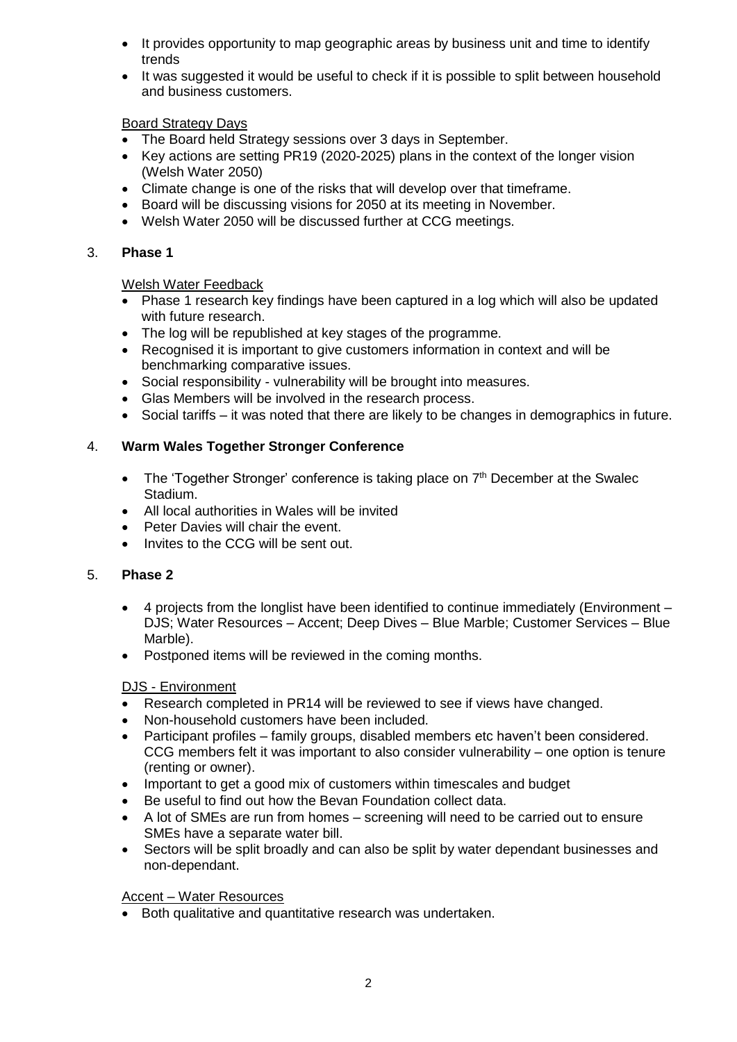- It provides opportunity to map geographic areas by business unit and time to identify trends
- It was suggested it would be useful to check if it is possible to split between household and business customers.

# Board Strategy Days

- The Board held Strategy sessions over 3 days in September.
- Key actions are setting PR19 (2020-2025) plans in the context of the longer vision (Welsh Water 2050)
- Climate change is one of the risks that will develop over that timeframe.
- Board will be discussing visions for 2050 at its meeting in November.
- Welsh Water 2050 will be discussed further at CCG meetings.

# 3. **Phase 1**

# Welsh Water Feedback

- Phase 1 research key findings have been captured in a log which will also be updated with future research.
- The log will be republished at key stages of the programme.
- Recognised it is important to give customers information in context and will be benchmarking comparative issues.
- Social responsibility vulnerability will be brought into measures.
- Glas Members will be involved in the research process.
- Social tariffs it was noted that there are likely to be changes in demographics in future.

# 4. **Warm Wales Together Stronger Conference**

- The 'Together Stronger' conference is taking place on  $7<sup>th</sup>$  December at the Swalec Stadium.
- All local authorities in Wales will be invited
- Peter Davies will chair the event.
- Invites to the CCG will be sent out.

## 5. **Phase 2**

- 4 projects from the longlist have been identified to continue immediately (Environment DJS; Water Resources – Accent; Deep Dives – Blue Marble; Customer Services – Blue Marble).
- Postponed items will be reviewed in the coming months.

# DJS - Environment

- Research completed in PR14 will be reviewed to see if views have changed.
- Non-household customers have been included.
- Participant profiles family groups, disabled members etc haven't been considered. CCG members felt it was important to also consider vulnerability – one option is tenure (renting or owner).
- Important to get a good mix of customers within timescales and budget
- Be useful to find out how the Bevan Foundation collect data.
- A lot of SMEs are run from homes screening will need to be carried out to ensure SMEs have a separate water bill.
- Sectors will be split broadly and can also be split by water dependant businesses and non-dependant.

## Accent – Water Resources

Both qualitative and quantitative research was undertaken.